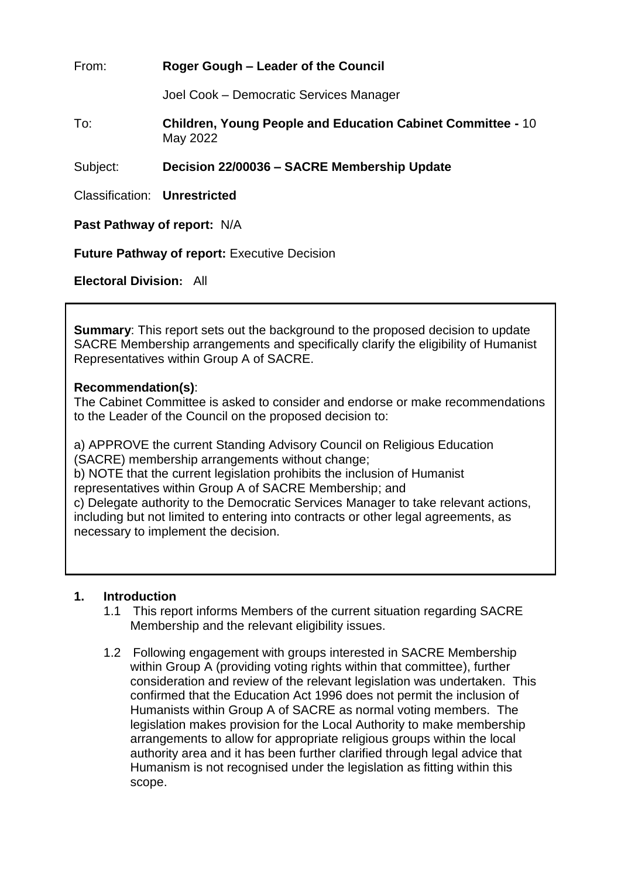From: **Roger Gough – Leader of the Council**

Joel Cook – Democratic Services Manager

To: **Children, Young People and Education Cabinet Committee -** 10 May 2022

Subject: **Decision 22/00036 – SACRE Membership Update**

Classification: **Unrestricted**

**Past Pathway of report:** N/A

**Future Pathway of report:** Executive Decision

**Electoral Division:** All

**Summary**: This report sets out the background to the proposed decision to update SACRE Membership arrangements and specifically clarify the eligibility of Humanist Representatives within Group A of SACRE.

### **Recommendation(s)**:

The Cabinet Committee is asked to consider and endorse or make recommendations to the Leader of the Council on the proposed decision to:

a) APPROVE the current Standing Advisory Council on Religious Education (SACRE) membership arrangements without change; b) NOTE that the current legislation prohibits the inclusion of Humanist representatives within Group A of SACRE Membership; and c) Delegate authority to the Democratic Services Manager to take relevant actions, including but not limited to entering into contracts or other legal agreements, as necessary to implement the decision.

#### **1. Introduction**

- 1.1 This report informs Members of the current situation regarding SACRE Membership and the relevant eligibility issues.
- 1.2 Following engagement with groups interested in SACRE Membership within Group A (providing voting rights within that committee), further consideration and review of the relevant legislation was undertaken. This confirmed that the Education Act 1996 does not permit the inclusion of Humanists within Group A of SACRE as normal voting members. The legislation makes provision for the Local Authority to make membership arrangements to allow for appropriate religious groups within the local authority area and it has been further clarified through legal advice that Humanism is not recognised under the legislation as fitting within this scope.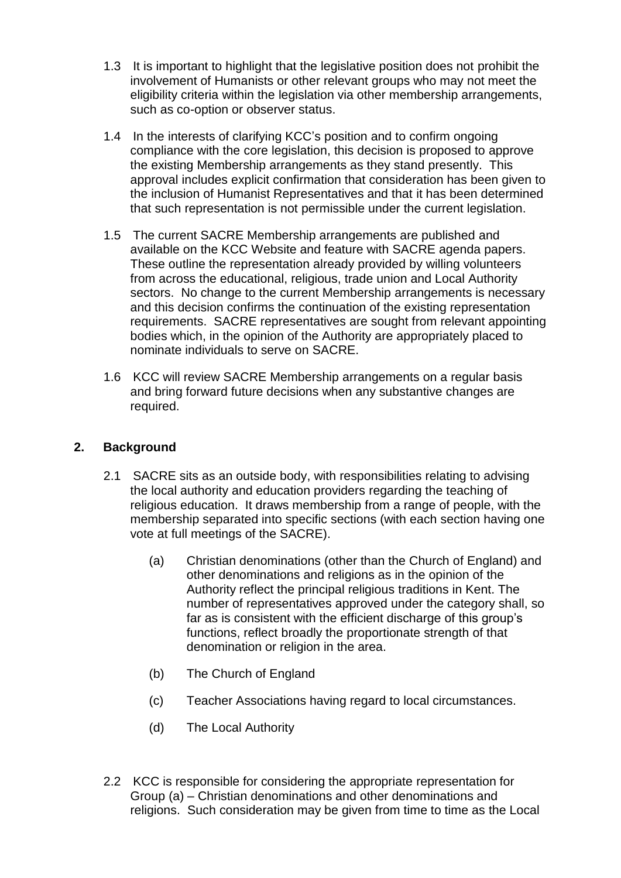- 1.3 It is important to highlight that the legislative position does not prohibit the involvement of Humanists or other relevant groups who may not meet the eligibility criteria within the legislation via other membership arrangements, such as co-option or observer status.
- 1.4 In the interests of clarifying KCC's position and to confirm ongoing compliance with the core legislation, this decision is proposed to approve the existing Membership arrangements as they stand presently. This approval includes explicit confirmation that consideration has been given to the inclusion of Humanist Representatives and that it has been determined that such representation is not permissible under the current legislation.
- 1.5 The current SACRE Membership arrangements are published and available on the KCC Website and feature with SACRE agenda papers. These outline the representation already provided by willing volunteers from across the educational, religious, trade union and Local Authority sectors. No change to the current Membership arrangements is necessary and this decision confirms the continuation of the existing representation requirements. SACRE representatives are sought from relevant appointing bodies which, in the opinion of the Authority are appropriately placed to nominate individuals to serve on SACRE.
- 1.6 KCC will review SACRE Membership arrangements on a regular basis and bring forward future decisions when any substantive changes are required.

# **2. Background**

- 2.1 SACRE sits as an outside body, with responsibilities relating to advising the local authority and education providers regarding the teaching of religious education. It draws membership from a range of people, with the membership separated into specific sections (with each section having one vote at full meetings of the SACRE).
	- (a) Christian denominations (other than the Church of England) and other denominations and religions as in the opinion of the Authority reflect the principal religious traditions in Kent. The number of representatives approved under the category shall, so far as is consistent with the efficient discharge of this group's functions, reflect broadly the proportionate strength of that denomination or religion in the area.
	- (b) The Church of England
	- (c) Teacher Associations having regard to local circumstances.
	- (d) The Local Authority
- 2.2 KCC is responsible for considering the appropriate representation for Group (a) – Christian denominations and other denominations and religions. Such consideration may be given from time to time as the Local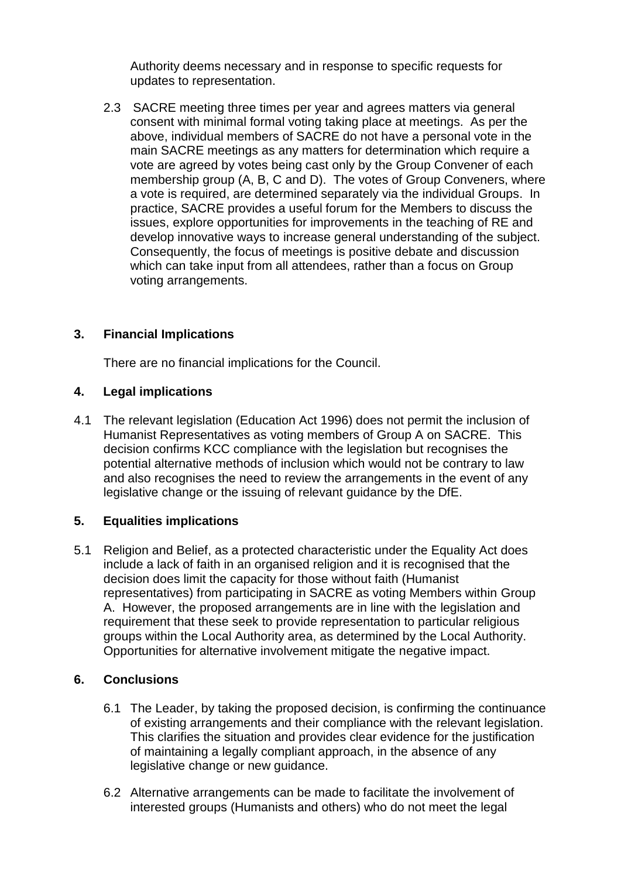Authority deems necessary and in response to specific requests for updates to representation.

2.3 SACRE meeting three times per year and agrees matters via general consent with minimal formal voting taking place at meetings. As per the above, individual members of SACRE do not have a personal vote in the main SACRE meetings as any matters for determination which require a vote are agreed by votes being cast only by the Group Convener of each membership group (A, B, C and D). The votes of Group Conveners, where a vote is required, are determined separately via the individual Groups. In practice, SACRE provides a useful forum for the Members to discuss the issues, explore opportunities for improvements in the teaching of RE and develop innovative ways to increase general understanding of the subject. Consequently, the focus of meetings is positive debate and discussion which can take input from all attendees, rather than a focus on Group voting arrangements.

# **3. Financial Implications**

There are no financial implications for the Council.

# **4. Legal implications**

4.1 The relevant legislation (Education Act 1996) does not permit the inclusion of Humanist Representatives as voting members of Group A on SACRE. This decision confirms KCC compliance with the legislation but recognises the potential alternative methods of inclusion which would not be contrary to law and also recognises the need to review the arrangements in the event of any legislative change or the issuing of relevant guidance by the DfE.

# **5. Equalities implications**

5.1 Religion and Belief, as a protected characteristic under the Equality Act does include a lack of faith in an organised religion and it is recognised that the decision does limit the capacity for those without faith (Humanist representatives) from participating in SACRE as voting Members within Group A. However, the proposed arrangements are in line with the legislation and requirement that these seek to provide representation to particular religious groups within the Local Authority area, as determined by the Local Authority. Opportunities for alternative involvement mitigate the negative impact.

# **6. Conclusions**

- 6.1 The Leader, by taking the proposed decision, is confirming the continuance of existing arrangements and their compliance with the relevant legislation. This clarifies the situation and provides clear evidence for the justification of maintaining a legally compliant approach, in the absence of any legislative change or new guidance.
- 6.2 Alternative arrangements can be made to facilitate the involvement of interested groups (Humanists and others) who do not meet the legal